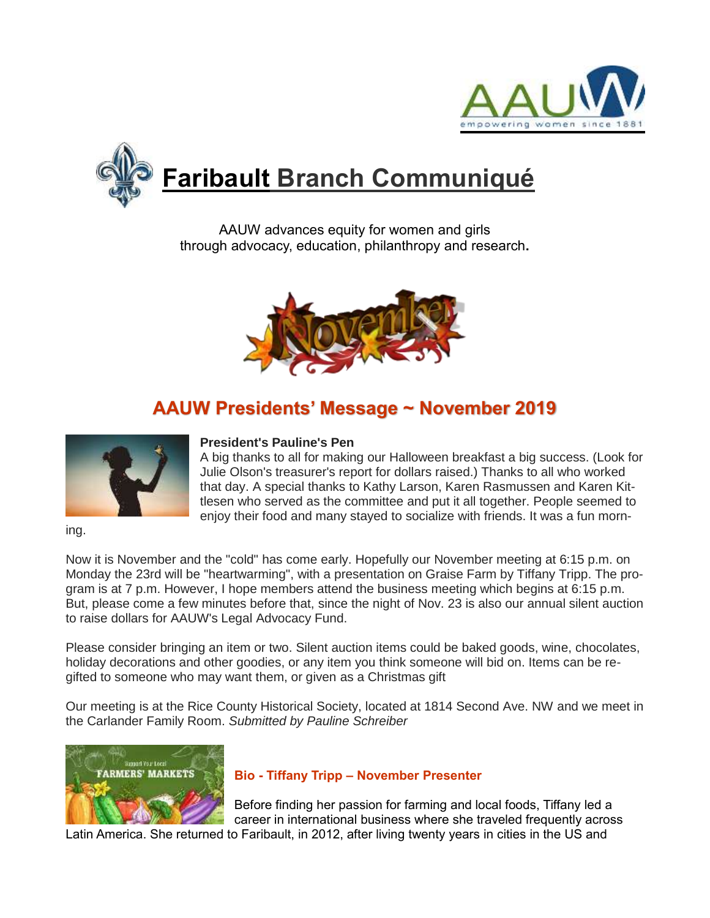



AAUW advances equity for women and girls through advocacy, education, philanthropy and research**.**



# **AAUW Presidents' Message ~ November 2019**



#### **President's Pauline's Pen**

A big thanks to all for making our Halloween breakfast a big success. (Look for Julie Olson's treasurer's report for dollars raised.) Thanks to all who worked that day. A special thanks to Kathy Larson, Karen Rasmussen and Karen Kittlesen who served as the committee and put it all together. People seemed to enjoy their food and many stayed to socialize with friends. It was a fun morn-

ing.

Now it is November and the "cold" has come early. Hopefully our November meeting at 6:15 p.m. on Monday the 23rd will be "heartwarming", with a presentation on Graise Farm by Tiffany Tripp. The program is at 7 p.m. However, I hope members attend the business meeting which begins at 6:15 p.m. But, please come a few minutes before that, since the night of Nov. 23 is also our annual silent auction to raise dollars for AAUW's Legal Advocacy Fund.

Please consider bringing an item or two. Silent auction items could be baked goods, wine, chocolates, holiday decorations and other goodies, or any item you think someone will bid on. Items can be regifted to someone who may want them, or given as a Christmas gift

Our meeting is at the Rice County Historical Society, located at 1814 Second Ave. NW and we meet in the Carlander Family Room. *Submitted by Pauline Schreiber*



## **Bio - Tiffany Tripp – November Presenter**

Before finding her passion for farming and local foods, Tiffany led a career in international business where she traveled frequently across Latin America. She returned to Faribault, in 2012, after living twenty years in cities in the US and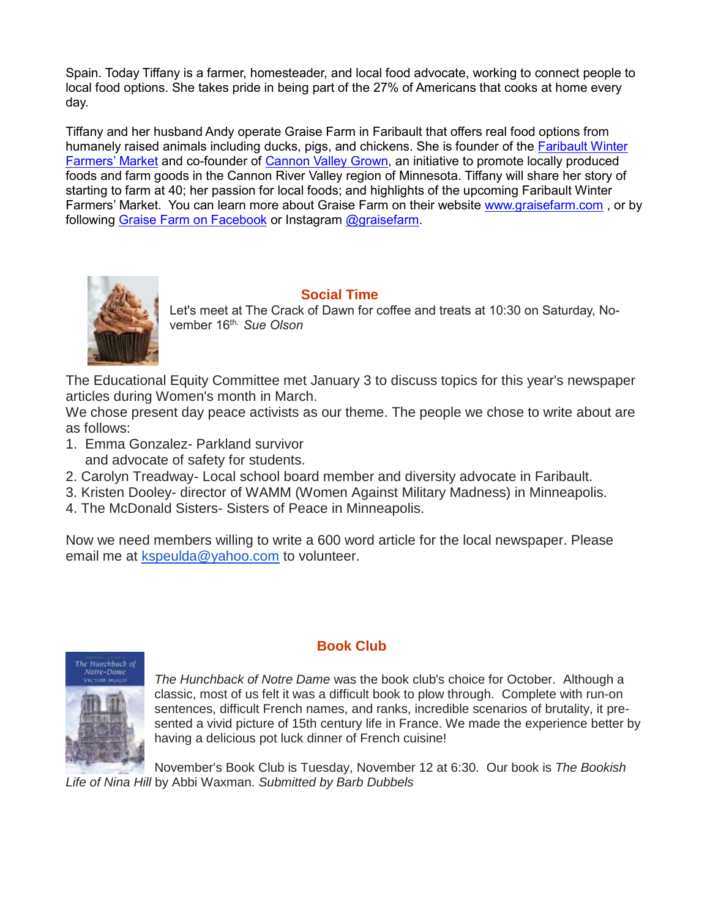Spain. Today Tiffany is a farmer, homesteader, and local food advocate, working to connect people to local food options. She takes pride in being part of the 27% of Americans that cooks at home every day.

Tiffany and her husband Andy operate Graise Farm in Faribault that offers real food options from humanely raised animals including ducks, pigs, and chickens. She is founder of the [Faribault Winter](https://www.facebook.com/faribaultwinterfarmersmarket/)  [Farmers' Market](https://www.facebook.com/faribaultwinterfarmersmarket/) and co-founder of [Cannon Valley Grown,](https://cannonvalleygrown.org/) an initiative to promote locally produced foods and farm goods in the Cannon River Valley region of Minnesota. Tiffany will share her story of starting to farm at 40; her passion for local foods; and highlights of the upcoming Faribault Winter Farmers' Market. You can learn more about Graise Farm on their website [www.graisefarm.com](http://www.graisefarm.com/) , or by following [Graise Farm on Facebook](https://www.facebook.com/graisefarm/) or Instagram [@graisefarm.](https://www.instagram.com/graisefarm/)



## **Social Time**

Let's meet at The Crack of Dawn for coffee and treats at 10:30 on Saturday, November 16th. *Sue Olson*

The Educational Equity Committee met January 3 to discuss topics for this year's newspaper articles during Women's month in March.

We chose present day peace activists as our theme. The people we chose to write about are as follows:

- 1. Emma Gonzalez- Parkland survivor and advocate of safety for students.
- 2. Carolyn Treadway- Local school board member and diversity advocate in Faribault.
- 3. Kristen Dooley- director of WAMM (Women Against Military Madness) in Minneapolis.
- 4. The McDonald Sisters- Sisters of Peace in Minneapolis.

Now we need members willing to write a 600 word article for the local newspaper. Please email me at [kspeulda@yahoo.com](mailto:kspeulda@yahoo.com) to volunteer.



## **Book Club**

*The Hunchback of Notre Dame* was the book club's choice for October. Although a classic, most of us felt it was a difficult book to plow through. Complete with run-on sentences, difficult French names, and ranks, incredible scenarios of brutality, it presented a vivid picture of 15th century life in France. We made the experience better by having a delicious pot luck dinner of French cuisine!

November's Book Club is Tuesday, November 12 at 6:30. Our book is *The Bookish Life of Nina Hill* by Abbi Waxman. *Submitted by Barb Dubbels*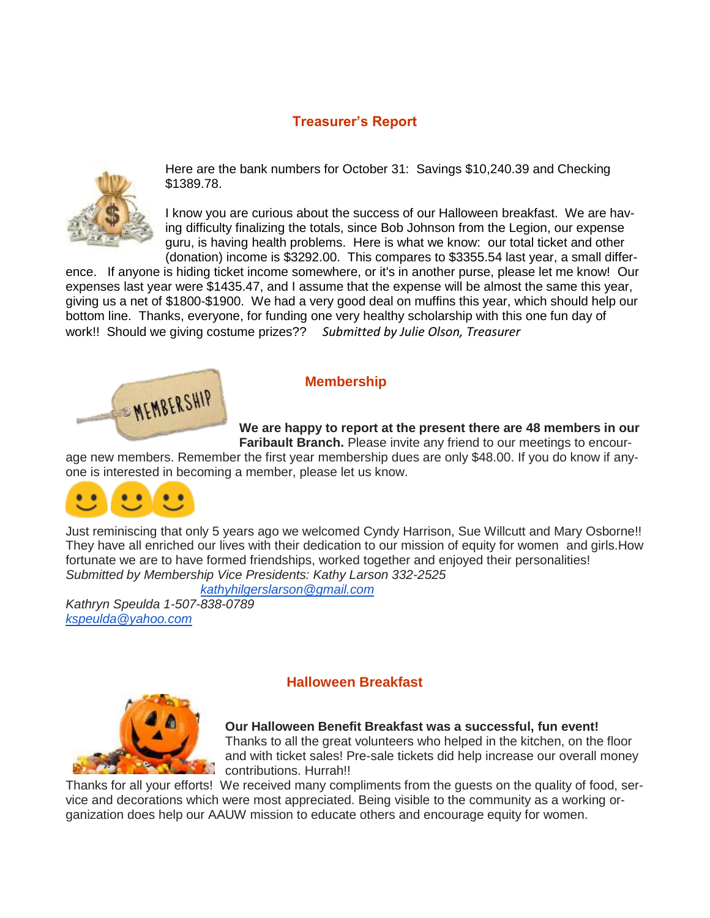# **Treasurer's Report**



Here are the bank numbers for October 31: Savings \$10,240.39 and Checking \$1389.78.

I know you are curious about the success of our Halloween breakfast. We are having difficulty finalizing the totals, since Bob Johnson from the Legion, our expense guru, is having health problems. Here is what we know: our total ticket and other (donation) income is \$3292.00. This compares to \$3355.54 last year, a small differ-

ence. If anyone is hiding ticket income somewhere, or it's in another purse, please let me know! Our expenses last year were \$1435.47, and I assume that the expense will be almost the same this year, giving us a net of \$1800-\$1900. We had a very good deal on muffins this year, which should help our bottom line. Thanks, everyone, for funding one very healthy scholarship with this one fun day of work!! Should we giving costume prizes?? *Submitted by Julie Olson, Treasurer*



#### **Membership**

**We are happy to report at the present there are 48 members in our Faribault Branch.** Please invite any friend to our meetings to encour-

age new members. Remember the first year membership dues are only \$48.00. If you do know if anyone is interested in becoming a member, please let us know.



Just reminiscing that only 5 years ago we welcomed Cyndy Harrison, Sue Willcutt and Mary Osborne!! They have all enriched our lives with their dedication to our mission of equity for women and girls.How fortunate we are to have formed friendships, worked together and enjoyed their personalities! *Submitted by Membership Vice Presidents: Kathy Larson 332-2525*

 *[kathyhilgerslarson@gmail.com](mailto:kathyhilgerslarson@gmail.com)*

*Kathryn Speulda 1-507-838-0789 [kspeulda@yahoo.com](mailto:kspeulda@yahoo.com)*



## **Halloween Breakfast**

**Our Halloween Benefit Breakfast was a successful, fun event!** Thanks to all the great volunteers who helped in the kitchen, on the floor and with ticket sales! Pre-sale tickets did help increase our overall money contributions. Hurrah!!

Thanks for all your efforts! We received many compliments from the guests on the quality of food, service and decorations which were most appreciated. Being visible to the community as a working organization does help our AAUW mission to educate others and encourage equity for women.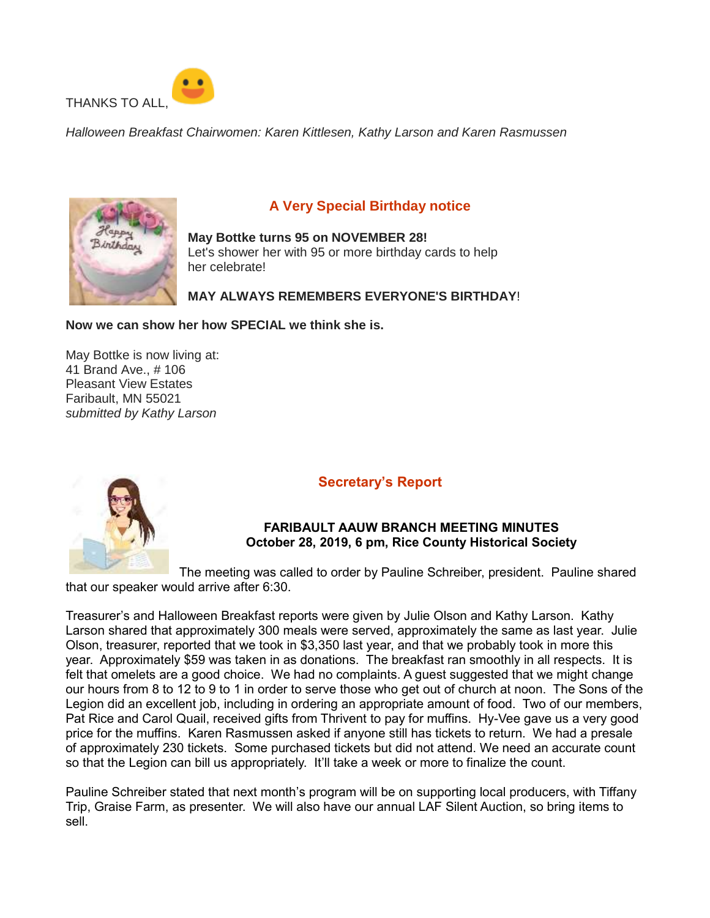

*Halloween Breakfast Chairwomen: Karen Kittlesen, Kathy Larson and Karen Rasmussen*



# **A Very Special Birthday notice**

**May Bottke turns 95 on NOVEMBER 28!** Let's shower her with 95 or more birthday cards to help her celebrate!

#### **MAY ALWAYS REMEMBERS EVERYONE'S BIRTHDAY**!

#### **Now we can show her how SPECIAL we think she is.**

May Bottke is now living at: 41 Brand Ave., # 106 Pleasant View Estates Faribault, MN 55021 *submitted by Kathy Larson*



## **Secretary's Report**

#### **FARIBAULT AAUW BRANCH MEETING MINUTES October 28, 2019, 6 pm, Rice County Historical Society**

The meeting was called to order by Pauline Schreiber, president. Pauline shared that our speaker would arrive after 6:30.

Treasurer's and Halloween Breakfast reports were given by Julie Olson and Kathy Larson. Kathy Larson shared that approximately 300 meals were served, approximately the same as last year. Julie Olson, treasurer, reported that we took in \$3,350 last year, and that we probably took in more this year. Approximately \$59 was taken in as donations. The breakfast ran smoothly in all respects. It is felt that omelets are a good choice. We had no complaints. A guest suggested that we might change our hours from 8 to 12 to 9 to 1 in order to serve those who get out of church at noon. The Sons of the Legion did an excellent job, including in ordering an appropriate amount of food. Two of our members, Pat Rice and Carol Quail, received gifts from Thrivent to pay for muffins. Hy-Vee gave us a very good price for the muffins. Karen Rasmussen asked if anyone still has tickets to return. We had a presale of approximately 230 tickets. Some purchased tickets but did not attend. We need an accurate count so that the Legion can bill us appropriately. It'll take a week or more to finalize the count.

Pauline Schreiber stated that next month's program will be on supporting local producers, with Tiffany Trip, Graise Farm, as presenter. We will also have our annual LAF Silent Auction, so bring items to sell.